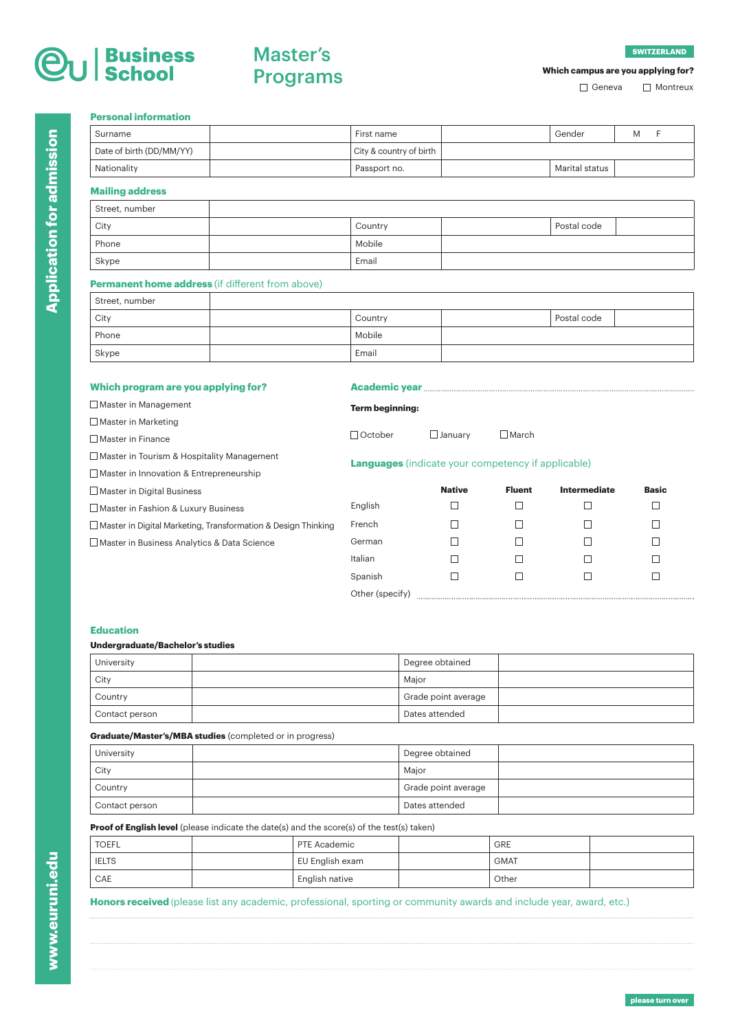# J Business<br>J School

# Master's Programs

## **Which campus are you applying for?**

□ Geneva □ Montreux

### **Personal information**

| Surname                  | First name              | Gender         | M |  |
|--------------------------|-------------------------|----------------|---|--|
| Date of birth (DD/MM/YY) | City & country of birth |                |   |  |
| Nationality              | Passport no.            | Marital status |   |  |
| Mailing address          |                         |                |   |  |

### **Mailing address**

| Street, number |         |             |  |
|----------------|---------|-------------|--|
| City           | Country | Postal code |  |
| Phone          | Mobile  |             |  |
| Skype          | Email   |             |  |

## **Permanent home address** (if different from above)

| Street, number |         |             |  |
|----------------|---------|-------------|--|
| City           | Country | Postal code |  |
| Phone          | Mobile  |             |  |
| Skype          | Email   |             |  |

### **Which program are you applying for?**

| <b>Academic year</b> |  |  |
|----------------------|--|--|
|----------------------|--|--|

| Master in Management                                                 | <b>Term beginning:</b>                                    |                |                 |                     |              |
|----------------------------------------------------------------------|-----------------------------------------------------------|----------------|-----------------|---------------------|--------------|
| $\Box$ Master in Marketing                                           |                                                           |                |                 |                     |              |
| □ Master in Finance                                                  | □ October                                                 | $\Box$ January | $\square$ March |                     |              |
| $\Box$ Master in Tourism & Hospitality Management                    | <b>Languages</b> (indicate your competency if applicable) |                |                 |                     |              |
| $\Box$ Master in Innovation & Entrepreneurship                       |                                                           |                |                 |                     |              |
| $\Box$ Master in Digital Business                                    |                                                           | <b>Native</b>  | <b>Fluent</b>   | <b>Intermediate</b> | <b>Basic</b> |
| Master in Fashion & Luxury Business                                  | English                                                   |                |                 |                     | П            |
| $\Box$ Master in Digital Marketing, Transformation & Design Thinking | French                                                    | Τ              | Ш               |                     | П            |
| Master in Business Analytics & Data Science                          | German                                                    | Τ              | H               |                     | ı I          |
|                                                                      | Italian                                                   |                | ×               |                     | ┓            |
|                                                                      | Spanish                                                   |                |                 |                     |              |

Other (specify) www.communically.communically.communically.communically.communically.com

### **Education**

### **Undergraduate/Bachelor's studies**

| University     | Degree obtained     |  |
|----------------|---------------------|--|
| City           | Major               |  |
| Country        | Grade point average |  |
| Contact person | Dates attended      |  |

# **Graduate/Master's/MBA studies** (completed or in progress)

| University     | Degree obtained     |  |
|----------------|---------------------|--|
| City           | Maior               |  |
| Country        | Grade point average |  |
| Contact person | Dates attended      |  |

### **Proof of English level** (please indicate the date(s) and the score(s) of the test(s) taken)

| <b>TOEFL</b> | PTE Academic    | <b>GRE</b>  |  |
|--------------|-----------------|-------------|--|
| <b>IELTS</b> | EU English exam | <b>GMAT</b> |  |
| CAE          | English native  | Other       |  |

### **Honors received** (please list any academic, professional, sporting or community awards and include year, award, etc.)